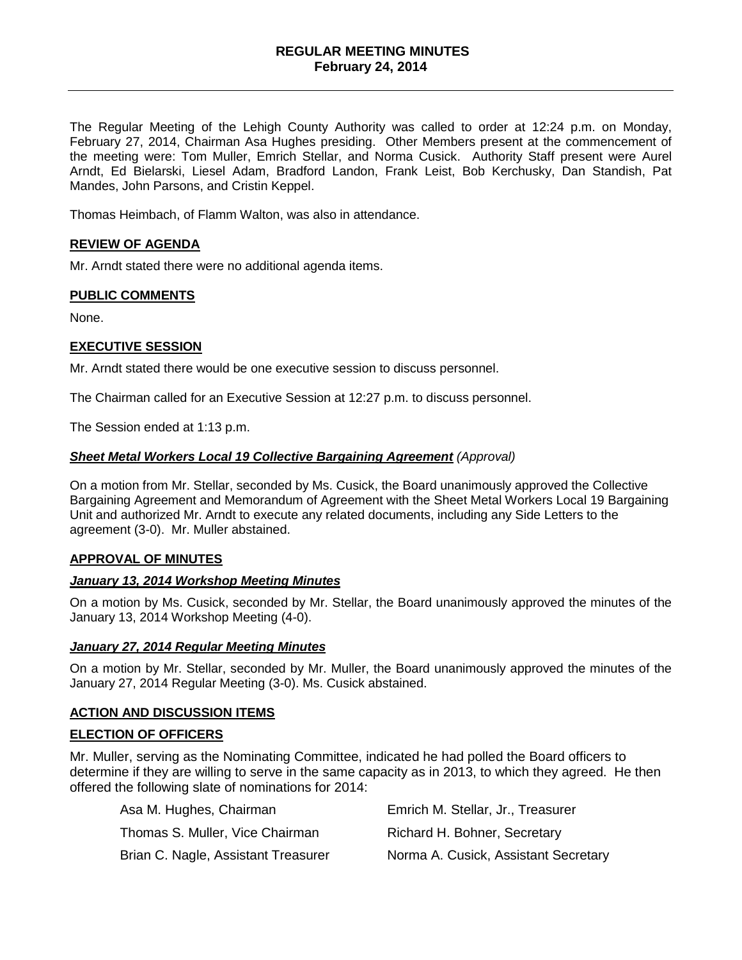### **REGULAR MEETING MINUTES February 24, 2014**

The Regular Meeting of the Lehigh County Authority was called to order at 12:24 p.m. on Monday, February 27, 2014, Chairman Asa Hughes presiding. Other Members present at the commencement of the meeting were: Tom Muller, Emrich Stellar, and Norma Cusick. Authority Staff present were Aurel Arndt, Ed Bielarski, Liesel Adam, Bradford Landon, Frank Leist, Bob Kerchusky, Dan Standish, Pat Mandes, John Parsons, and Cristin Keppel.

Thomas Heimbach, of Flamm Walton, was also in attendance.

### **REVIEW OF AGENDA**

Mr. Arndt stated there were no additional agenda items.

#### **PUBLIC COMMENTS**

None.

### **EXECUTIVE SESSION**

Mr. Arndt stated there would be one executive session to discuss personnel.

The Chairman called for an Executive Session at 12:27 p.m. to discuss personnel.

The Session ended at 1:13 p.m.

#### *Sheet Metal Workers Local 19 Collective Bargaining Agreement (Approval)*

On a motion from Mr. Stellar, seconded by Ms. Cusick, the Board unanimously approved the Collective Bargaining Agreement and Memorandum of Agreement with the Sheet Metal Workers Local 19 Bargaining Unit and authorized Mr. Arndt to execute any related documents, including any Side Letters to the agreement (3-0). Mr. Muller abstained.

#### **APPROVAL OF MINUTES**

#### *January 13, 2014 Workshop Meeting Minutes*

On a motion by Ms. Cusick, seconded by Mr. Stellar, the Board unanimously approved the minutes of the January 13, 2014 Workshop Meeting (4-0).

#### *January 27, 2014 Regular Meeting Minutes*

On a motion by Mr. Stellar, seconded by Mr. Muller, the Board unanimously approved the minutes of the January 27, 2014 Regular Meeting (3-0). Ms. Cusick abstained.

#### **ACTION AND DISCUSSION ITEMS**

#### **ELECTION OF OFFICERS**

Mr. Muller, serving as the Nominating Committee, indicated he had polled the Board officers to determine if they are willing to serve in the same capacity as in 2013, to which they agreed. He then offered the following slate of nominations for 2014:

| Asa M. Hughes, Chairman             | Emrich M. Stellar, Jr., Treasurer    |
|-------------------------------------|--------------------------------------|
| Thomas S. Muller, Vice Chairman     | Richard H. Bohner, Secretary         |
| Brian C. Nagle, Assistant Treasurer | Norma A. Cusick, Assistant Secretary |